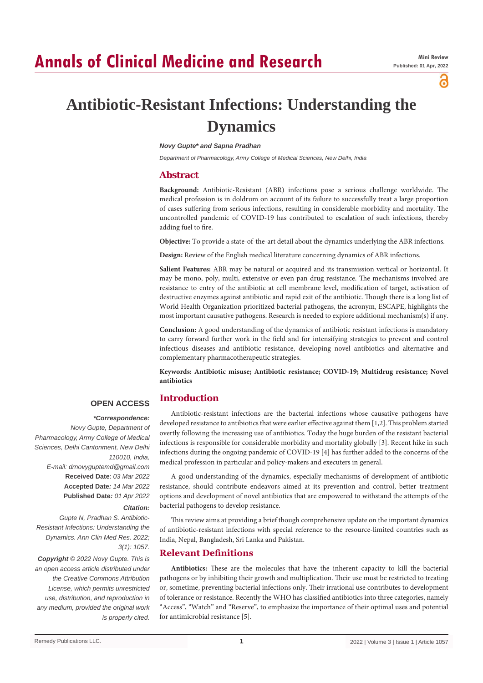# **Annals of Clinical Medicine and Research**

а

# **Antibiotic-Resistant Infections: Understanding the Dynamics**

#### *Novy Gupte\* and Sapna Pradhan*

*Department of Pharmacology, Army College of Medical Sciences, New Delhi, India*

# **Abstract**

**Background:** Antibiotic-Resistant (ABR) infections pose a serious challenge worldwide. The medical profession is in doldrum on account of its failure to successfully treat a large proportion of cases suffering from serious infections, resulting in considerable morbidity and mortality. The uncontrolled pandemic of COVID-19 has contributed to escalation of such infections, thereby adding fuel to fire.

**Objective:** To provide a state-of-the-art detail about the dynamics underlying the ABR infections.

**Design:** Review of the English medical literature concerning dynamics of ABR infections.

**Salient Features:** ABR may be natural or acquired and its transmission vertical or horizontal. It may be mono, poly, multi, extensive or even pan drug resistance. The mechanisms involved are resistance to entry of the antibiotic at cell membrane level, modification of target, activation of destructive enzymes against antibiotic and rapid exit of the antibiotic. Though there is a long list of World Health Organization prioritized bacterial pathogens, the acronym, ESCAPE, highlights the most important causative pathogens. Research is needed to explore additional mechanism(s) if any.

**Conclusion:** A good understanding of the dynamics of antibiotic resistant infections is mandatory to carry forward further work in the field and for intensifying strategies to prevent and control infectious diseases and antibiotic resistance, developing novel antibiotics and alternative and complementary pharmacotherapeutic strategies.

**Keywords: Antibiotic misuse; Antibiotic resistance; COVID-19; Multidrug resistance; Novel antibiotics**

# **Introduction**

# **OPEN ACCESS**

 *\*Correspondence:*

*Novy Gupte, Department of Pharmacology, Army College of Medical Sciences, Delhi Cantonment, New Delhi 110010, India, E-mail: drnovyguptemd@gmail.com* **Received Date**: *03 Mar 2022* **Accepted Date***: 14 Mar 2022* **Published Date***: 01 Apr 2022*

## *Citation:*

*Gupte N, Pradhan S. Antibiotic-Resistant Infections: Understanding the Dynamics. Ann Clin Med Res. 2022; 3(1): 1057.*

*Copyright © 2022 Novy Gupte. This is an open access article distributed under the Creative Commons Attribution License, which permits unrestricted use, distribution, and reproduction in any medium, provided the original work is properly cited.*

Antibiotic-resistant infections are the bacterial infections whose causative pathogens have developed resistance to antibiotics that were earlier effective against them [1,2]. This problem started overtly following the increasing use of antibiotics. Today the huge burden of the resistant bacterial infections is responsible for considerable morbidity and mortality globally [3]. Recent hike in such infections during the ongoing pandemic of COVID-19 [4] has further added to the concerns of the medical profession in particular and policy-makers and executers in general.

A good understanding of the dynamics, especially mechanisms of development of antibiotic resistance, should contribute endeavors aimed at its prevention and control, better treatment options and development of novel antibiotics that are empowered to withstand the attempts of the bacterial pathogens to develop resistance.

This review aims at providing a brief though comprehensive update on the important dynamics of antibiotic-resistant infections with special reference to the resource-limited countries such as India, Nepal, Bangladesh, Sri Lanka and Pakistan.

## **Relevant Definitions**

**Antibiotics:** These are the molecules that have the inherent capacity to kill the bacterial pathogens or by inhibiting their growth and multiplication. Their use must be restricted to treating or, sometime, preventing bacterial infections only. Their irrational use contributes to development of tolerance or resistance. Recently the WHO has classified antibiotics into three categories, namely "Access", "Watch" and "Reserve", to emphasize the importance of their optimal uses and potential for antimicrobial resistance [5].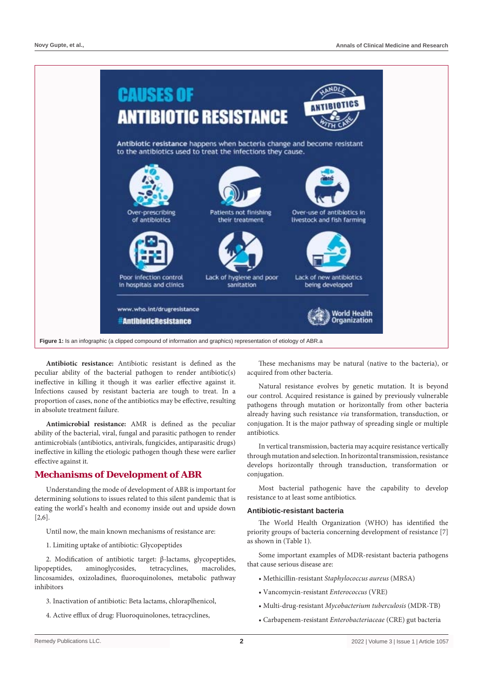

**Antibiotic resistance:** Antibiotic resistant is defined as the peculiar ability of the bacterial pathogen to render antibiotic(s) ineffective in killing it though it was earlier effective against it. Infections caused by resistant bacteria are tough to treat. In a proportion of cases, none of the antibiotics may be effective, resulting in absolute treatment failure.

**Antimicrobial resistance:** AMR is defined as the peculiar ability of the bacterial, viral, fungal and parasitic pathogen to render antimicrobials (antibiotics, antivirals, fungicides, antiparasitic drugs) ineffective in killing the etiologic pathogen though these were earlier effective against it.

# **Mechanisms of Development of ABR**

Understanding the mode of development of ABR is important for determining solutions to issues related to this silent pandemic that is eating the world's health and economy inside out and upside down [2,6].

Until now, the main known mechanisms of resistance are:

1. Limiting uptake of antibiotic: Glycopeptides

2. Modification of antibiotic target: β-lactams, glycopeptides, lipopeptides, aminoglycosides, tetracyclines, macrolides, lincosamides, oxizoladines, fluoroquinolones, metabolic pathway inhibitors

- 3. Inactivation of antibiotic: Beta lactams, chloraplhenicol,
- 4. Active efflux of drug: Fluoroquinolones, tetracyclines,

These mechanisms may be natural (native to the bacteria), or acquired from other bacteria.

Natural resistance evolves by genetic mutation. It is beyond our control. Acquired resistance is gained by previously vulnerable pathogens through mutation or horizontally from other bacteria already having such resistance *via* transformation, transduction, or conjugation. It is the major pathway of spreading single or multiple antibiotics.

In vertical transmission, bacteria may acquire resistance vertically through mutation and selection. In horizontal transmission, resistance develops horizontally through transduction, transformation or conjugation.

Most bacterial pathogenic have the capability to develop resistance to at least some antibiotics.

### **Antibiotic-resistant bacteria**

The World Health Organization (WHO) has identified the priority groups of bacteria concerning development of resistance [7] as shown in (Table 1).

Some important examples of MDR-resistant bacteria pathogens that cause serious disease are:

- Methicillin-resistant *Staphylococcus aureus* (MRSA)
- Vancomycin-resistant *Enterococcus* (VRE)
- Multi-drug-resistant *Mycobacterium tuberculosis* (MDR-TB)
- Carbapenem-resistant *Enterobacteriaceae* (CRE) gut bacteria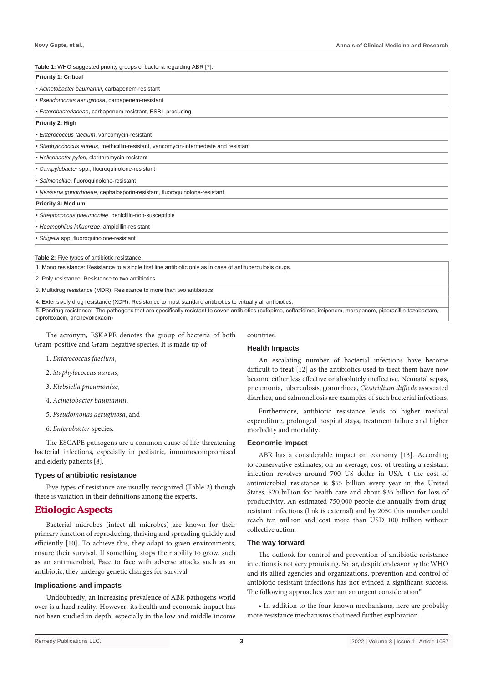**Table 1:** WHO suggested priority groups of bacteria regarding ABR [7].

| <b>Priority 1: Critical</b>                                                           |
|---------------------------------------------------------------------------------------|
| • Acinetobacter baumannii, carbapenem-resistant                                       |
| · Pseudomonas aeruginosa, carbapenem-resistant                                        |
| · Enterobacteriaceae, carbapenem-resistant, ESBL-producing                            |
| Priority 2: High                                                                      |
| • Enterococcus faecium, vancomycin-resistant                                          |
| • Staphylococcus aureus, methicillin-resistant, vancomycin-intermediate and resistant |
| • Helicobacter pylori, clarithromycin-resistant                                       |
| • Campylobacter spp., fluoroquinolone-resistant                                       |
| · Salmonellae, fluoroquinolone-resistant                                              |
| • Neisseria gonorrhoeae, cephalosporin-resistant, fluoroquinolone-resistant           |
| <b>Priority 3: Medium</b>                                                             |
| · Streptococcus pneumoniae, penicillin-non-susceptible                                |
| • Haemophilus influenzae, ampicillin-resistant                                        |
| • Shigella spp, fluoroquinolone-resistant                                             |

**Table 2:** Five types of antibiotic resistance.

1. Mono resistance: Resistance to a single first line antibiotic only as in case of antituberculosis drugs.

2. Poly resistance: Resistance to two antibiotics

3. Multidrug resistance (MDR): Resistance to more than two antibiotics

4. Extensively drug resistance (XDR): Resistance to most standard antibiotics to virtually all antibiotics.

5. Pandrug resistance: The pathogens that are specifically resistant to seven antibiotics (cefepime, ceftazidime, imipenem, meropenem, piperacillin-tazobactam, ciprofloxacin, and levofloxacin)

The acronym, ESKAPE denotes the group of bacteria of both Gram-positive and Gram-negative species. It is made up of

- 1. *Enterococcus faecium*,
- 2. *Staphylococcus aureus*,
- 3. *Klebsiella pneumoniae*,
- 4. *Acinetobacter baumannii*,
- 5. *Pseudomonas aeruginosa*, and
- 6. *Enterobacter* species.

The ESCAPE pathogens are a common cause of life-threatening bacterial infections, especially in pediatric, immunocompromised and elderly patients [8].

#### **Types of antibiotic resistance**

Five types of resistance are usually recognized (Table 2) though there is variation in their definitions among the experts.

# **Etiologic Aspects**

Bacterial microbes (infect all microbes) are known for their primary function of reproducing, thriving and spreading quickly and efficiently [10]. To achieve this, they adapt to given environments, ensure their survival. If something stops their ability to grow, such as an antimicrobial, Face to face with adverse attacks such as an antibiotic, they undergo genetic changes for survival.

#### **Implications and impacts**

Undoubtedly, an increasing prevalence of ABR pathogens world over is a hard reality. However, its health and economic impact has not been studied in depth, especially in the low and middle-income

# countries.

### **Health Impacts**

An escalating number of bacterial infections have become difficult to treat [12] as the antibiotics used to treat them have now become either less effective or absolutely ineffective. Neonatal sepsis, pneumonia, tuberculosis, gonorrhoea, *Clostridium difficile* associated diarrhea, and salmonellosis are examples of such bacterial infections.

Furthermore, antibiotic resistance leads to higher medical expenditure, prolonged hospital stays, treatment failure and higher morbidity and mortality.

#### **Economic impact**

ABR has a considerable impact on economy [13]. According to conservative estimates, on an average, cost of treating a resistant infection revolves around 700 US dollar in USA. t the cost of antimicrobial resistance is \$55 billion every year in the United States, \$20 billion for health care and about \$35 billion for loss of productivity. An estimated 750,000 people die annually from drugresistant infections (link is external) and by 2050 this number could reach ten million and cost more than USD 100 trillion without collective action.

#### **The way forward**

The outlook for control and prevention of antibiotic resistance infections is not very promising. So far, despite endeavor by the WHO and its allied agencies and organizations, prevention and control of antibiotic resistant infections has not evinced a significant success. The following approaches warrant an urgent consideration"

• In addition to the four known mechanisms, here are probably more resistance mechanisms that need further exploration.